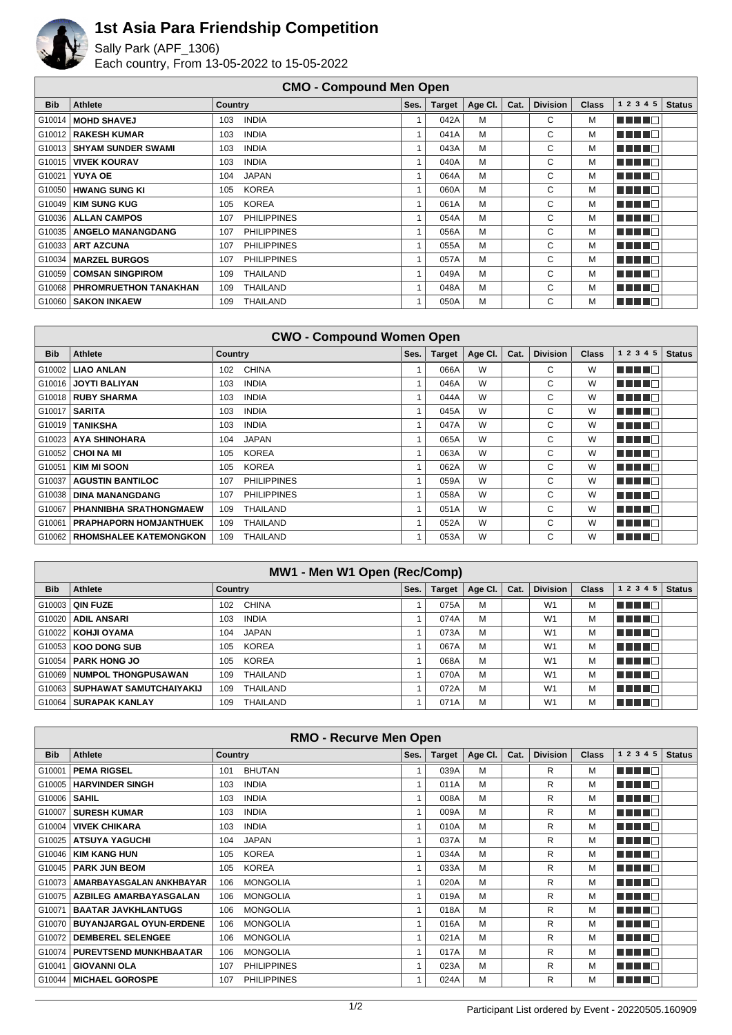

## **1st Asia Para Friendship Competition**

Sally Park (APF\_1306) Each country, From 13-05-2022 to 15-05-2022

| <b>CMO - Compound Men Open</b> |                                |                           |      |               |         |      |                 |              |              |               |
|--------------------------------|--------------------------------|---------------------------|------|---------------|---------|------|-----------------|--------------|--------------|---------------|
| <b>Bib</b>                     | <b>Athlete</b>                 | <b>Country</b>            | Ses. | <b>Target</b> | Age Cl. | Cat. | <b>Division</b> | <b>Class</b> | 1 2 3 4 5    | <b>Status</b> |
|                                | G10014   MOHD SHAVEJ           | <b>INDIA</b><br>103       |      | 042A          | м       |      | C               | М            | MA MA        |               |
|                                | G10012   RAKESH KUMAR          | <b>INDIA</b><br>103       |      | 041A          | м       |      | C               | м            | MA MARIT     |               |
|                                | G10013   SHYAM SUNDER SWAMI    | <b>INDIA</b><br>103       |      | 043A          | M       |      | C               | M            | MA MARINA    |               |
| G10015                         | <b>VIVEK KOURAV</b>            | <b>INDIA</b><br>103       |      | 040A          | м       |      | C               | M            | MA MAR       |               |
| G10021                         | YUYA OE                        | <b>JAPAN</b><br>104       |      | 064A          | М       |      | C               | M            | <b>RENEA</b> |               |
|                                | G10050   HWANG SUNG KI         | <b>KOREA</b><br>105       |      | 060A          | М       |      | C               | M            | MA MARIT     |               |
|                                | G10049   KIM SUNG KUG          | <b>KOREA</b><br>105       |      | 061A          | м       |      | C               | M            | MA MARI      |               |
|                                | G10036   ALLAN CAMPOS          | <b>PHILIPPINES</b><br>107 |      | 054A          | м       |      | C               | М            | n din Fin    |               |
| G10035                         | <b>ANGELO MANANGDANG</b>       | <b>PHILIPPINES</b><br>107 |      | 056A          | м       |      | С               | M            | MA MARIT     |               |
| G10033                         | <b>ART AZCUNA</b>              | <b>PHILIPPINES</b><br>107 |      | 055A          | м       |      | C               | M            | MA MARIT     |               |
|                                | G10034   MARZEL BURGOS         | <b>PHILIPPINES</b><br>107 |      | 057A          | м       |      | С               | м            | M M M M M    |               |
|                                | G10059   COMSAN SINGPIROM      | THAILAND<br>109           |      | 049A          | М       |      | C               | M            | n na m       |               |
|                                | G10068   PHROMRUETHON TANAKHAN | THAILAND<br>109           |      | 048A          | М       |      | C               | м            | MA MARIT     |               |
|                                | G10060   SAKON INKAEW          | <b>THAILAND</b><br>109    |      | 050A          | М       |      | C               | M            | MA MA        |               |

|            | <b>CWO - Compound Women Open</b> |                           |      |               |         |      |                 |              |           |               |  |
|------------|----------------------------------|---------------------------|------|---------------|---------|------|-----------------|--------------|-----------|---------------|--|
| <b>Bib</b> | <b>Athlete</b>                   | Country                   | Ses. | <b>Target</b> | Age Cl. | Cat. | <b>Division</b> | <b>Class</b> | 1 2 3 4 5 | <b>Status</b> |  |
| G10002     | <b>LIAO ANLAN</b>                | <b>CHINA</b><br>102       |      | 066A          | W       |      | C               | W            | n din Fin |               |  |
| G10016     | <b>JOYTI BALIYAN</b>             | <b>INDIA</b><br>103       |      | 046A          | W       |      | C               | W            | n na mata |               |  |
| G10018     | <b>RUBY SHARMA</b>               | <b>INDIA</b><br>103       |      | 044A          | W       |      | C               | W            | n na ma   |               |  |
| G10017     | <b>SARITA</b>                    | <b>INDIA</b><br>103       |      | 045A          | W       |      | C               | W            | M MARIT   |               |  |
| G10019     | <b>TANIKSHA</b>                  | <b>INDIA</b><br>103       |      | 047A          | W       |      | C               | W            | n na m    |               |  |
| G10023     | <b>AYA SHINOHARA</b>             | <b>JAPAN</b><br>104       |      | 065A          | W       |      | C               | W            | n din ser |               |  |
| G10052     | <b>CHOI NA MI</b>                | <b>KOREA</b><br>105       |      | 063A          | W       |      | C               | W            | n din B   |               |  |
| G10051     | <b>KIM MI SOON</b>               | <b>KOREA</b><br>105       |      | 062A          | W       |      | C               | W            | n nin n   |               |  |
| G10037     | <b>AGUSTIN BANTILOC</b>          | <b>PHILIPPINES</b><br>107 |      | 059A          | W       |      | C               | W            | ma mata   |               |  |
| G10038     | <b>DINA MANANGDANG</b>           | <b>PHILIPPINES</b><br>107 |      | 058A          | W       |      | C               | W            | n na mata |               |  |
| G10067     | <b>PHANNIBHA SRATHONGMAEW</b>    | THAILAND<br>109           |      | 051A          | W       |      | C               | W            | n din B   |               |  |
| G10061     | <b>PRAPHAPORN HOMJANTHUEK</b>    | <b>THAILAND</b><br>109    |      | 052A          | W       |      | C               | W            | n din ng  |               |  |
| G10062     | RHOMSHALEE KATEMONGKON           | <b>THAILAND</b><br>109    |      | 053A          | W       |      | C               | W            | n din n   |               |  |

| MW1 - Men W1 Open (Rec/Comp) |                                |                        |      |               |         |      |                 |              |           |               |  |
|------------------------------|--------------------------------|------------------------|------|---------------|---------|------|-----------------|--------------|-----------|---------------|--|
| <b>Bib</b>                   | Athlete                        | Country                | Ses. | <b>Target</b> | Age CI. | Cat. | <b>Division</b> | <b>Class</b> | 1 2 3 4 5 | <b>Status</b> |  |
|                              | G10003   QIN FUZE              | <b>CHINA</b><br>102    |      | 075A          | M       |      | W <sub>1</sub>  | м            | TE DE L   |               |  |
|                              | G10020   ADIL ANSARI           | <b>INDIA</b><br>103    |      | 074A          | M       |      | W <sub>1</sub>  | M            | n din B   |               |  |
|                              | G10022   KOHJI OYAMA           | <b>JAPAN</b><br>104    |      | 073A          | M       |      | W <sub>1</sub>  | М            | n din bin |               |  |
|                              | G10053 KOO DONG SUB            | <b>KOREA</b><br>105    |      | 067A          | M       |      | W <sub>1</sub>  | M            | MA NG     |               |  |
|                              | G10054   PARK HONG JO          | <b>KOREA</b><br>105    |      | 068A          | M       |      | W <sub>1</sub>  | М            | T FIFTE T |               |  |
|                              | G10069   NUMPOL THONGPUSAWAN   | <b>THAILAND</b><br>109 |      | 070A          | M       |      | W <sub>1</sub>  | M            | M MARIT   |               |  |
|                              | G10063 SUPHAWAT SAMUTCHAIYAKIJ | <b>THAILAND</b><br>109 |      | 072A          | M       |      | W <sub>1</sub>  | M            | un ning   |               |  |
|                              | G10064 SURAPAK KANLAY          | <b>THAILAND</b><br>109 |      | 071A          | M       |      | W <sub>1</sub>  | M            | T FIFTE   |               |  |

| <b>RMO - Recurve Men Open</b> |                                |                           |      |               |         |      |                 |              |              |               |
|-------------------------------|--------------------------------|---------------------------|------|---------------|---------|------|-----------------|--------------|--------------|---------------|
| <b>Bib</b>                    | <b>Athlete</b>                 | <b>Country</b>            | Ses. | <b>Target</b> | Age Cl. | Cat. | <b>Division</b> | <b>Class</b> | 1 2 3 4 5    | <b>Status</b> |
| G10001                        | <b>PEMA RIGSEL</b>             | <b>BHUTAN</b><br>101      |      | 039A          | M       |      | R               | м            | n nin nin    |               |
| G10005                        | <b>HARVINDER SINGH</b>         | <b>INDIA</b><br>103       |      | 011A          | м       |      | R               | м            | n nin nin    |               |
| G10006                        | <b>SAHIL</b>                   | <b>INDIA</b><br>103       |      | 008A          | м       |      | R               | м            | n na ma      |               |
| G10007                        | <b>SURESH KUMAR</b>            | <b>INDIA</b><br>103       |      | 009A          | M       |      | R               | M            | n na man     |               |
| G10004                        | <b>VIVEK CHIKARA</b>           | <b>INDIA</b><br>103       |      | 010A          | M       |      | R               | м            | MA MET       |               |
| G10025                        | <b>ATSUYA YAGUCHI</b>          | <b>JAPAN</b><br>104       |      | 037A          | м       |      | R               | м            | n nin nin    |               |
| G10046                        | <b>KIM KANG HUN</b>            | <b>KOREA</b><br>105       |      | 034A          | M       |      | R               | M            | n na ma      |               |
| G10045                        | <b>PARK JUN BEOM</b>           | <b>KOREA</b><br>105       |      | 033A          | м       |      | R               | м            | n na mata    |               |
| G10073                        | AMARBAYASGALAN ANKHBAYAR       | <b>MONGOLIA</b><br>106    |      | 020A          | м       |      | R               | M            | n na ma      |               |
| G10075                        | <b>AZBILEG AMARBAYASGALAN</b>  | <b>MONGOLIA</b><br>106    |      | 019A          | M       |      | R               | M            | MA MARI      |               |
| G10071                        | <b>BAATAR JAVKHLANTUGS</b>     | <b>MONGOLIA</b><br>106    |      | 018A          | м       |      | R               | м            | MA MAR       |               |
| G10070                        | <b>BUYANJARGAL OYUN-ERDENE</b> | <b>MONGOLIA</b><br>106    |      | 016A          | м       |      | R               | M            | n na mata    |               |
| G10072                        | <b>DEMBEREL SELENGEE</b>       | <b>MONGOLIA</b><br>106    |      | 021A          | м       |      | R               | м            | n na ma      |               |
| G10074                        | <b>PUREVTSEND MUNKHBAATAR</b>  | <b>MONGOLIA</b><br>106    |      | 017A          | м       |      | R               | м            | MA MAR       |               |
| G10041                        | <b>GIOVANNI OLA</b>            | <b>PHILIPPINES</b><br>107 |      | 023A          | М       |      | R               | М            | MA MAR       |               |
| G10044                        | <b>MICHAEL GOROSPE</b>         | <b>PHILIPPINES</b><br>107 |      | 024A          | м       |      | R               | м            | n din din ka |               |